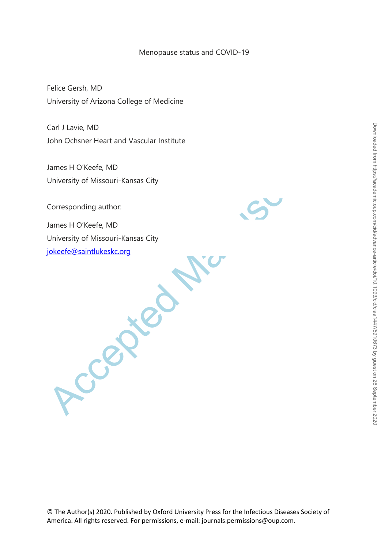## Menopause status and COVID-19

Felice Gersh, MD University of Arizona College of Medicine

Carl J Lavie, MD John Ochsner Heart and Vascular Institute

James H O'Keefe, MD University of Missouri-Kansas City

Corresponding author:

Accepted Manuscript James H O'Keefe, MD University of Missouri-Kansas City jokeefe@saintlukeskc.org

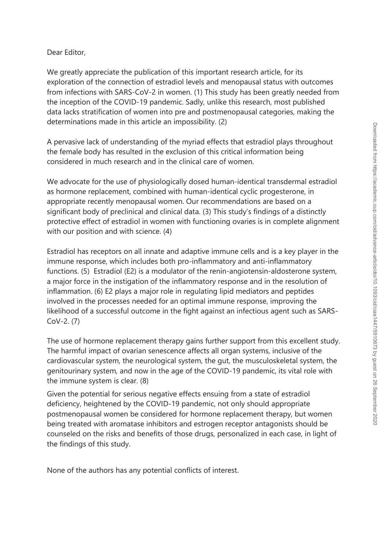## Dear Editor,

We greatly appreciate the publication of this important research article, for its exploration of the connection of estradiol levels and menopausal status with outcomes from infections with SARS-CoV-2 in women. (1) This study has been greatly needed from the inception of the COVID-19 pandemic. Sadly, unlike this research, most published data lacks stratification of women into pre and postmenopausal categories, making the determinations made in this article an impossibility. (2)

A pervasive lack of understanding of the myriad effects that estradiol plays throughout the female body has resulted in the exclusion of this critical information being considered in much research and in the clinical care of women.

We advocate for the use of physiologically dosed human-identical transdermal estradiol as hormone replacement, combined with human-identical cyclic progesterone, in appropriate recently menopausal women. Our recommendations are based on a significant body of preclinical and clinical data. (3) This study's findings of a distinctly protective effect of estradiol in women with functioning ovaries is in complete alignment with our position and with science. (4)

A pervasive lack of understanding of the myrial effects that estradiol plays throughon<br>the fremale body has resulted in the exclusion of this critical information being<br>considered in much research and in the clinical care Estradiol has receptors on all innate and adaptive immune cells and is a key player in the immune response, which includes both pro-inflammatory and anti-inflammatory functions. (5) Estradiol (E2) is a modulator of the renin-angiotensin-aldosterone system, a major force in the instigation of the inflammatory response and in the resolution of inflammation. (6) E2 plays a major role in regulating lipid mediators and peptides involved in the processes needed for an optimal immune response, improving the likelihood of a successful outcome in the fight against an infectious agent such as SARS-CoV-2. (7)

The use of hormone replacement therapy gains further support from this excellent study. The harmful impact of ovarian senescence affects all organ systems, inclusive of the cardiovascular system, the neurological system, the gut, the musculoskeletal system, the genitourinary system, and now in the age of the COVID-19 pandemic, its vital role with the immune system is clear. (8)

Given the potential for serious negative effects ensuing from a state of estradiol deficiency, heightened by the COVID-19 pandemic, not only should appropriate postmenopausal women be considered for hormone replacement therapy, but women being treated with aromatase inhibitors and estrogen receptor antagonists should be counseled on the risks and benefits of those drugs, personalized in each case, in light of the findings of this study.

None of the authors has any potential conflicts of interest.